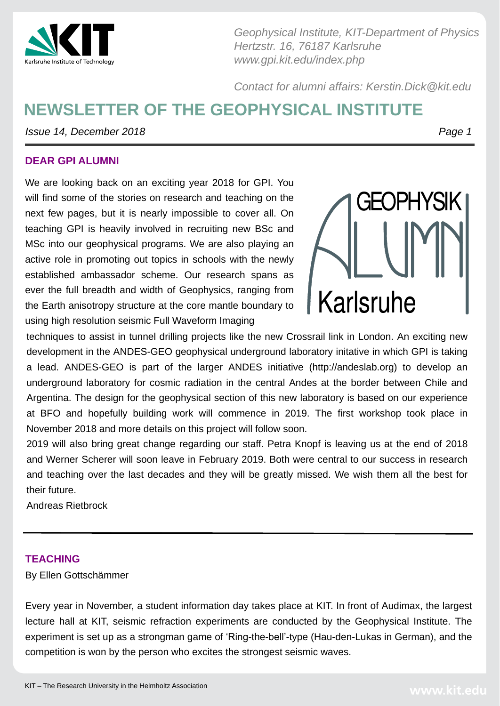

# **NEWSLETTER OF THE GEOPHYSICAL INSTITUTE**

*Issue 14, December 2018 Page 1* 

*Geophysical Institute, KIT-Department of Physics Hertzstr. 16, 76187 Karlsruhe www.gpi.kit.edu/index.php*

*Contact for alumni affairs: Kerstin.Dick@kit.edu*

#### **DEAR GPI ALUMNI**



Every year in November, a student information day takes place at KIT. In front of Audimax, the largest lecture hall at KIT, seismic refraction experiments are conducted by the Geophysical Institute. The experiment is set up as a strongman game of 'Ring-the-bell'-type (Hau-den-Lukas in German), and the competition is won by the person who excites the strongest seismic waves.

KIT – The Research University in the Helmholtz Association



We are looking back on an exciting year 2018 for GPI. You

will find some of the stories on research and teaching on the next few pages, but it is nearly impossible to cover all. On teaching GPI is heavily involved in recruiting new BSc and MSc into our geophysical programs. We are also playing an active role in promoting out topics in schools with the newly established ambassador scheme. Our research spans as ever the full breadth and width of Geophysics, ranging from the Earth anisotropy structure at the core mantle boundary to using high resolution seismic Full Waveform Imaging techniques to assist in tunnel drilling projects like the new Crossrail link in London. An exciting new development in the ANDES-GEO geophysical underground laboratory initative in which GPI is taking a lead. ANDES-GEO is part of the larger ANDES initiative (http://andeslab.org) to develop an



underground laboratory for cosmic radiation in the central Andes at the border between Chile and Argentina. The design for the geophysical section of this new laboratory is based on our experience at BFO and hopefully building work will commence in 2019. The first workshop took place in November 2018 and more details on this project will follow soon. 2019 will also bring great change regarding our staff. Petra Knopf is leaving us at the end of 2018 and Werner Scherer will soon leave in February 2019. Both were central to our success in research and teaching over the last decades and they will be greatly missed. We wish them all the best for

their future.

Andreas Rietbrock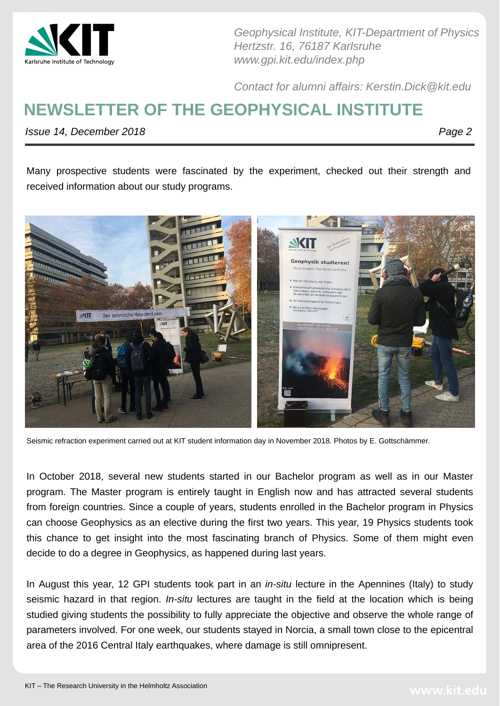

# **NEWSLETTER OF THE GEOPHYSICAL INSTITUTE**

*Issue 14, December 2018 Page 2* 

*Geophysical Institute, KIT-Department of Physics Hertzstr. 16, 76187 Karlsruhe www.gpi.kit.edu/index.php*

*Contact for alumni affairs: Kerstin.Dick@kit.edu*

In October 2018, several new students started in our Bachelor program as well as in our Master program. The Master program is entirely taught in English now and has attracted several students from foreign countries. Since a couple of years, students enrolled in the Bachelor program in Physics can choose Geophysics as an elective during the first two years. This year, 19 Physics students took this chance to get insight into the most fascinating branch of Physics. Some of them might even decide to do a degree in Geophysics, as happened during last years.

In August this year, 12 GPI students took part in an *in-situ* lecture in the Apennines (Italy) to study seismic hazard in that region. *In-situ* lectures are taught in the field at the location which is being studied giving students the possibility to fully appreciate the objective and observe the whole range of parameters involved. For one week, our students stayed in Norcia, a small town close to the epicentral area of the 2016 Central Italy earthquakes, where damage is still omnipresent.

KIT – The Research University in the Helmholtz Association



Seismic refraction experiment carried out at KIT student information day in November 2018. Photos by E. Gottschämmer.

Many prospective students were fascinated by the experiment, checked out their strength and received information about our study programs.

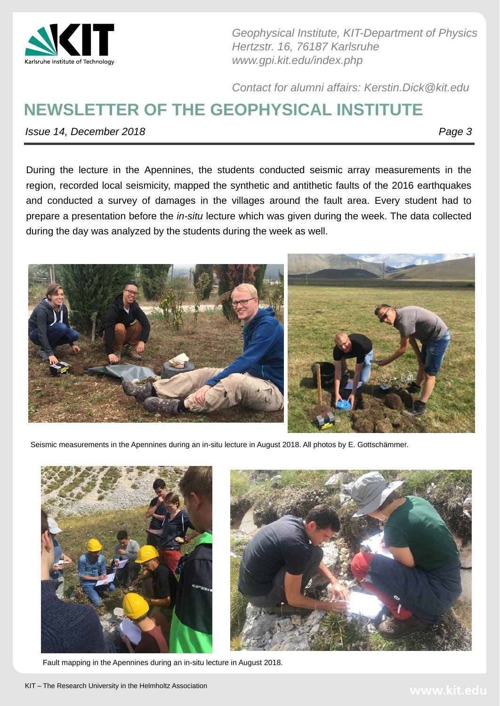

# **NEWSLETTER OF THE GEOPHYSICAL INSTITUTE**

*Issue 14, December 2018 Page 3* 

*Geophysical Institute, KIT-Department of Physics Hertzstr. 16, 76187 Karlsruhe www.gpi.kit.edu/index.php*

*Contact for alumni affairs: Kerstin.Dick@kit.edu*

Seismic measurements in the Apennines during an in-situ lecture in August 2018. All photos by E. Gottschämmer.





Fault mapping in the Apennines during an in-situ lecture in August 2018.

KIT – The Research University in the Helmholtz Association



During the lecture in the Apennines, the students conducted seismic array measurements in the region, recorded local seismicity, mapped the synthetic and antithetic faults of the 2016 earthquakes and conducted a survey of damages in the villages around the fault area. Every student had to prepare a presentation before the *in-situ* lecture which was given during the week. The data collected during the day was analyzed by the students during the week as well.

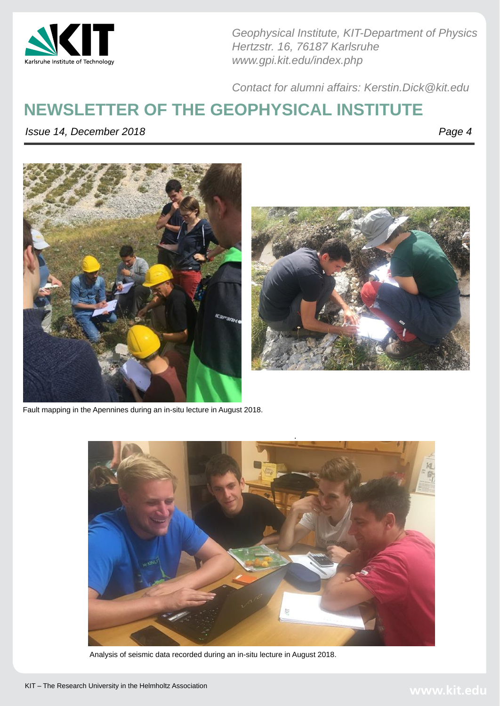

KIT – The Research University in the Helmholtz Association



#### **NEWSLETTER OF THE GEOPHYSICAL INSTITUTE**

*Issue 14, December 2018 Page 4* 







*Geophysical Institute, KIT-Department of Physics Hertzstr. 16, 76187 Karlsruhe www.gpi.kit.edu/index.php*

*Contact for alumni affairs: Kerstin.Dick@kit.edu*



#### Analysis of seismic data recorded during an in-situ lecture in August 2018.

Fault mapping in the Apennines during an in-situ lecture in August 2018.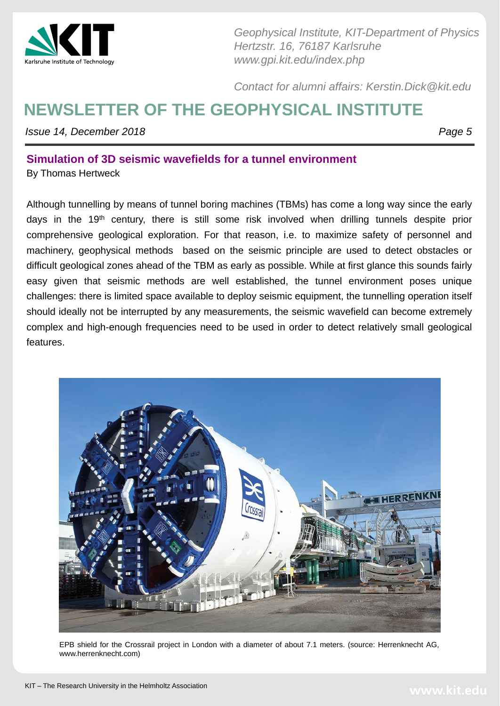

# **NEWSLETTER OF THE GEOPHYSICAL INSTITUTE**

*Issue 14, December 2018 Page 5* 

*Geophysical Institute, KIT-Department of Physics Hertzstr. 16, 76187 Karlsruhe www.gpi.kit.edu/index.php*

*Contact for alumni affairs: Kerstin.Dick@kit.edu*

#### **Simulation of 3D seismic wavefields for a tunnel environment**

By Thomas Hertweck

Although tunnelling by means of tunnel boring machines (TBMs) has come a long way since the early days in the 19<sup>th</sup> century, there is still some risk involved when drilling tunnels despite prior comprehensive geological exploration. For that reason, i.e. to maximize safety of personnel and machinery, geophysical methods based on the seismic principle are used to detect obstacles or difficult geological zones ahead of the TBM as early as possible. While at first glance this sounds fairly easy given that seismic methods are well established, the tunnel environment poses unique challenges: there is limited space available to deploy seismic equipment, the tunnelling operation itself should ideally not be interrupted by any measurements, the seismic wavefield can become extremely complex and high-enough frequencies need to be used in order to detect relatively small geological features.



EPB shield for the Crossrail project in London with a diameter of about 7.1 meters. (source: Herrenknecht AG, www.herrenknecht.com)

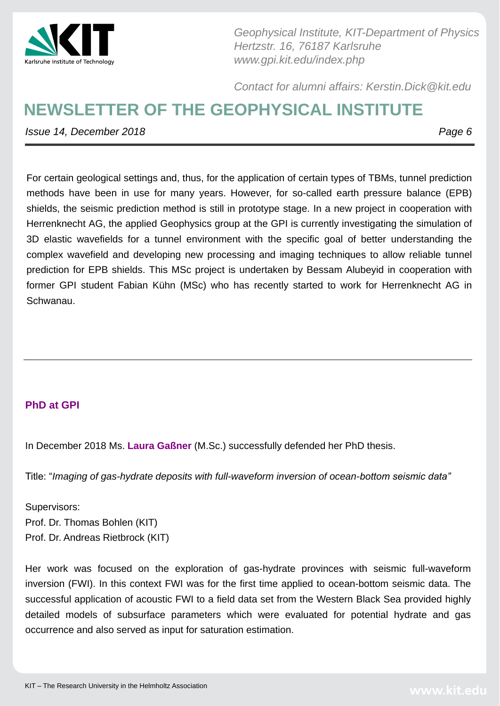

# **NEWSLETTER OF THE GEOPHYSICAL INSTITUTE**

*Issue 14, December 2018 Page 6* 

*Geophysical Institute, KIT-Department of Physics Hertzstr. 16, 76187 Karlsruhe www.gpi.kit.edu/index.php*

*Contact for alumni affairs: Kerstin.Dick@kit.edu*

For certain geological settings and, thus, for the application of certain types of TBMs, tunnel prediction

methods have been in use for many years. However, for so-called earth pressure balance (EPB) shields, the seismic prediction method is still in prototype stage. In a new project in cooperation with Herrenknecht AG, the applied Geophysics group at the GPI is currently investigating the simulation of 3D elastic wavefields for a tunnel environment with the specific goal of better understanding the complex wavefield and developing new processing and imaging techniques to allow reliable tunnel prediction for EPB shields. This MSc project is undertaken by Bessam Alubeyid in cooperation with former GPI student Fabian Kühn (MSc) who has recently started to work for Herrenknecht AG in Schwanau.

In December 2018 Ms. **Laura Gaßner** (M.Sc.) successfully defended her PhD thesis.

Title: "*Imaging of gas-hydrate deposits with full-waveform inversion of ocean-bottom seismic data"*

Supervisors:

Prof. Dr. Thomas Bohlen (KIT)

Prof. Dr. Andreas Rietbrock (KIT)

Her work was focused on the exploration of gas-hydrate provinces with seismic full-waveform inversion (FWI). In this context FWI was for the first time applied to ocean-bottom seismic data. The successful application of acoustic FWI to a field data set from the Western Black Sea provided highly detailed models of subsurface parameters which were evaluated for potential hydrate and gas occurrence and also served as input for saturation estimation.

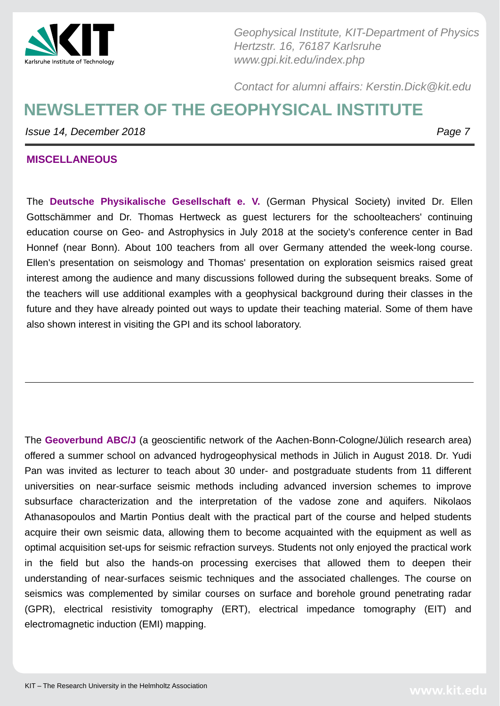

# **NEWSLETTER OF THE GEOPHYSICAL INSTITUTE**

*Issue 14, December 2018 Page 7* 





*Geophysical Institute, KIT-Department of Physics Hertzstr. 16, 76187 Karlsruhe www.gpi.kit.edu/index.php*

*Contact for alumni affairs: Kerstin.Dick@kit.edu*

The **Deutsche Physikalische Gesellschaft e. V.** (German Physical Society) invited Dr. Ellen Gottschämmer and Dr. Thomas Hertweck as guest lecturers for the schoolteachers' continuing education course on Geo- and Astrophysics in July 2018 at the society's conference center in Bad Honnef (near Bonn). About 100 teachers from all over Germany attended the week-long course. Ellen's presentation on seismology and Thomas' presentation on exploration seismics raised great interest among the audience and many discussions followed during the subsequent breaks. Some of the teachers will use additional examples with a geophysical background during their classes in the future and they have already pointed out ways to update their teaching material. Some of them have also shown interest in visiting the GPI and its school laboratory.

The **Geoverbund ABC/J** (a geoscientific network of the Aachen-Bonn-Cologne/Jülich research area) offered a summer school on advanced hydrogeophysical methods in Jülich in August 2018. Dr. Yudi Pan was invited as lecturer to teach about 30 under- and postgraduate students from 11 different universities on near-surface seismic methods including advanced inversion schemes to improve subsurface characterization and the interpretation of the vadose zone and aquifers. Nikolaos Athanasopoulos and Martin Pontius dealt with the practical part of the course and helped students acquire their own seismic data, allowing them to become acquainted with the equipment as well as optimal acquisition set-ups for seismic refraction surveys. Students not only enjoyed the practical work in the field but also the hands-on processing exercises that allowed them to deepen their

understanding of near-surfaces seismic techniques and the associated challenges. The course on seismics was complemented by similar courses on surface and borehole ground penetrating radar (GPR), electrical resistivity tomography (ERT), electrical impedance tomography (EIT) and electromagnetic induction (EMI) mapping.

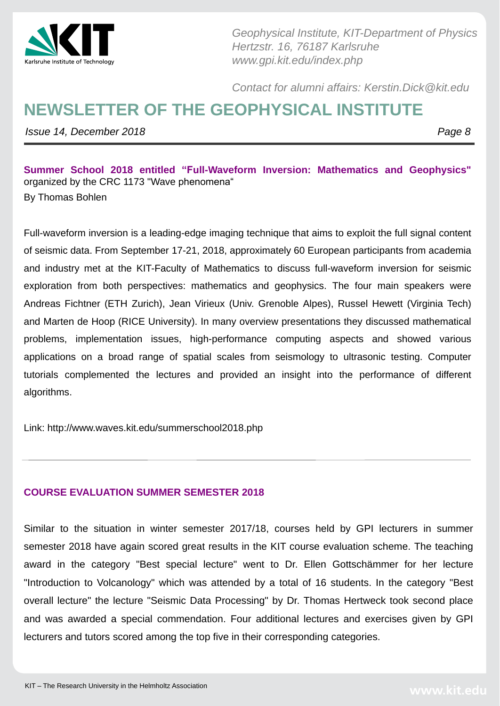

# **NEWSLETTER OF THE GEOPHYSICAL INSTITUTE**

*Issue 14, December 2018 Page 8* 

*Geophysical Institute, KIT-Department of Physics Hertzstr. 16, 76187 Karlsruhe www.gpi.kit.edu/index.php*

*Contact for alumni affairs: Kerstin.Dick@kit.edu*

**Summer School 2018 entitled "Full-Waveform Inversion: Mathematics and Geophysics"** organized by the CRC 1173 "Wave phenomena"

Full-waveform inversion is a leading-edge imaging technique that aims to exploit the full signal content of seismic data. From September 17-21, 2018, approximately 60 European participants from academia and industry met at the KIT-Faculty of Mathematics to discuss full-waveform inversion for seismic exploration from both perspectives: mathematics and geophysics. The four main speakers were Andreas Fichtner (ETH Zurich), Jean Virieux (Univ. Grenoble Alpes), Russel Hewett (Virginia Tech) and Marten de Hoop (RICE University). In many overview presentations they discussed mathematical problems, implementation issues, high-performance computing aspects and showed various applications on a broad range of spatial scales from seismology to ultrasonic testing. Computer tutorials complemented the lectures and provided an insight into the performance of different

#### algorithms.

Link: http://www.waves.kit.edu/summerschool2018.php

#### **COURSE EVALUATION SUMMER SEMESTER 2018**

Similar to the situation in winter semester 2017/18, courses held by GPI lecturers in summer semester 2018 have again scored great results in the KIT course evaluation scheme. The teaching award in the category "Best special lecture" went to Dr. Ellen Gottschämmer for her lecture

"Introduction to Volcanology" which was attended by a total of 16 students. In the category "Best

overall lecture" the lecture "Seismic Data Processing" by Dr. Thomas Hertweck took second place

and was awarded a special commendation. Four additional lectures and exercises given by GPI

lecturers and tutors scored among the top five in their corresponding categories.

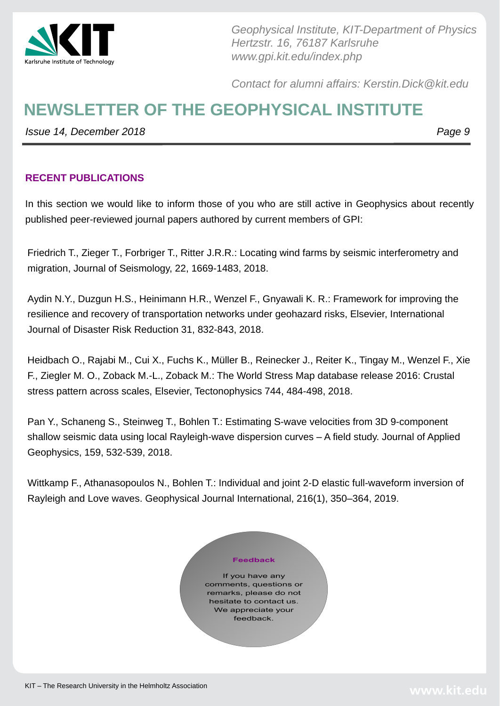

#### **NEWSLETTER OF THE GEOPHYSICAL INSTITUTE**

*Issue 14, December 2018 Page 9* 



*Geophysical Institute, KIT-Department of Physics Hertzstr. 16, 76187 Karlsruhe www.gpi.kit.edu/index.php*

In this section we would like to inform those of you who are still active in Geophysics about recently published peer-reviewed journal papers authored by current members of GPI:

*Contact for alumni affairs: Kerstin.Dick@kit.edu*

#### **RECENT PUBLICATIONS**

Friedrich T., Zieger T., Forbriger T., Ritter J.R.R.: Locating wind farms by seismic interferometry and migration, Journal of Seismology, 22, 1669-1483, 2018.

Aydin N.Y., Duzgun H.S., Heinimann H.R., Wenzel F., Gnyawali K. R.: Framework for improving the resilience and recovery of transportation networks under geohazard risks, Elsevier, International Journal of Disaster Risk Reduction 31, 832-843, 2018.

Heidbach O., Rajabi M., Cui X., Fuchs K., Müller B., Reinecker J., Reiter K., Tingay M., Wenzel F., Xie F., Ziegler M. O., Zoback M.-L., Zoback M.: The World Stress Map database release 2016: Crustal stress pattern across scales, Elsevier, Tectonophysics 744, 484-498, 2018.

Pan Y., Schaneng S., Steinweg T., Bohlen T.: Estimating S-wave velocities from 3D 9-component shallow seismic data using local Rayleigh-wave dispersion curves – A field study. Journal of Applied Geophysics, 159, 532-539, 2018.

Wittkamp F., Athanasopoulos N., Bohlen T.: Individual and joint 2-D elastic full-waveform inversion of Rayleigh and Love waves. Geophysical Journal International, 216(1), 350–364, 2019.



If you have any comments, questions or remarks, please do not hesitate to contact us. We appreciate your feedback.